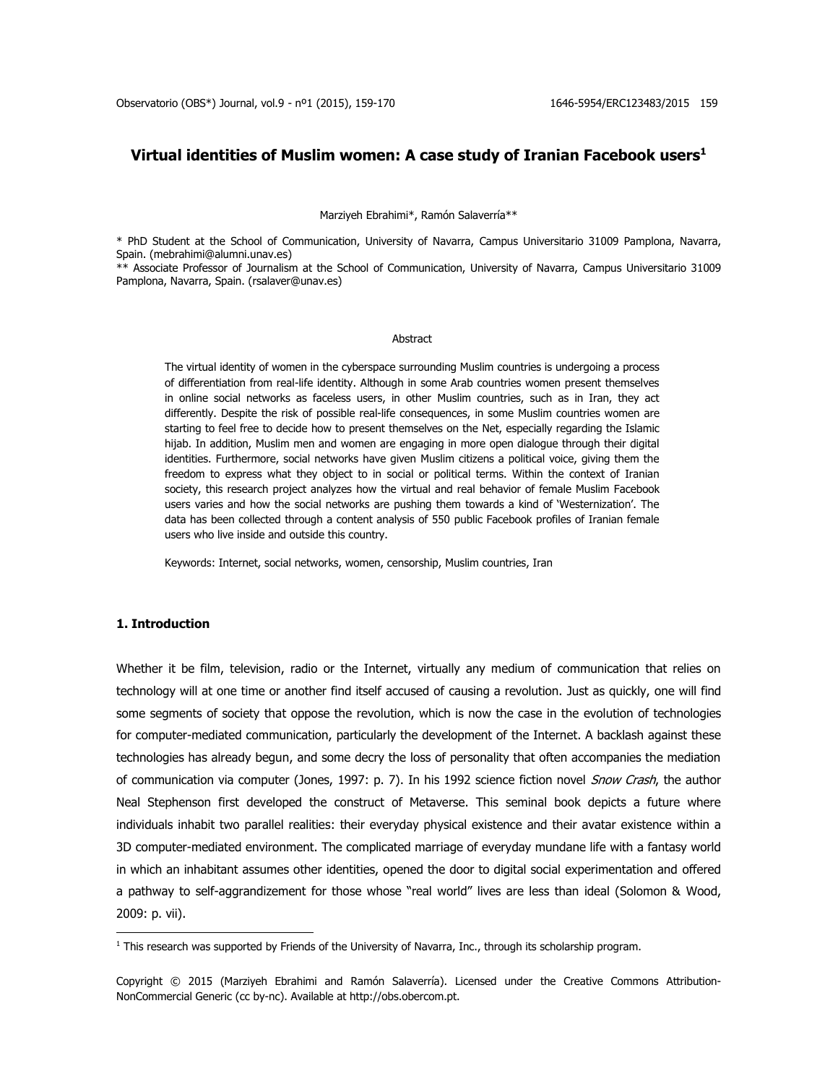# **Virtual identities of Muslim women: A case study of Iranian Facebook users<sup>1</sup>**

Marziyeh Ebrahimi\*, Ramón Salaverría\*\*

\* PhD Student at the School of Communication, University of Navarra, Campus Universitario 31009 Pamplona, Navarra, Spain. [\(mebrahimi@alumni.unav.es\)](mailto:mebrahimi@alumni.unav.es)

\*\* Associate Professor of Journalism at the School of Communication, University of Navarra, Campus Universitario 31009 Pamplona, Navarra, Spain. [\(rsalaver@unav.es\)](mailto:rsalaver@unav.es)

#### Abstract

The virtual identity of women in the cyberspace surrounding Muslim countries is undergoing a process of differentiation from real-life identity. Although in some Arab countries women present themselves in online social networks as faceless users, in other Muslim countries, such as in Iran, they act differently. Despite the risk of possible real-life consequences, in some Muslim countries women are starting to feel free to decide how to present themselves on the Net, especially regarding the Islamic hijab. In addition, Muslim men and women are engaging in more open dialogue through their digital identities. Furthermore, social networks have given Muslim citizens a political voice, giving them the freedom to express what they object to in social or political terms. Within the context of Iranian society, this research project analyzes how the virtual and real behavior of female Muslim Facebook users varies and how the social networks are pushing them towards a kind of 'Westernization'. The data has been collected through a content analysis of 550 public Facebook profiles of Iranian female users who live inside and outside this country.

Keywords: Internet, social networks, women, censorship, Muslim countries, Iran

# **1. Introduction**

Whether it be film, television, radio or the Internet, virtually any medium of communication that relies on technology will at one time or another find itself accused of causing a revolution. Just as quickly, one will find some segments of society that oppose the revolution, which is now the case in the evolution of technologies for computer-mediated communication, particularly the development of the Internet. A backlash against these technologies has already begun, and some decry the loss of personality that often accompanies the mediation of communication via computer (Jones, 1997: p. 7). In his 1992 science fiction novel Snow Crash, the author Neal Stephenson first developed the construct of Metaverse. This seminal book depicts a future where individuals inhabit two parallel realities: their everyday physical existence and their avatar existence within a 3D computer-mediated environment. The complicated marriage of everyday mundane life with a fantasy world in which an inhabitant assumes other identities, opened the door to digital social experimentation and offered a pathway to self-aggrandizement for those whose "real world" lives are less than ideal (Solomon & Wood, 2009: p. vii).

 $1$  This research was supported by Friends of the University of Navarra, Inc., through its scholarship program.

Copyright © 2015 (Marziyeh Ebrahimi and Ramón Salaverría). Licensed under the Creative Commons Attribution-NonCommercial Generic (cc by-nc). Available at http://obs.obercom.pt.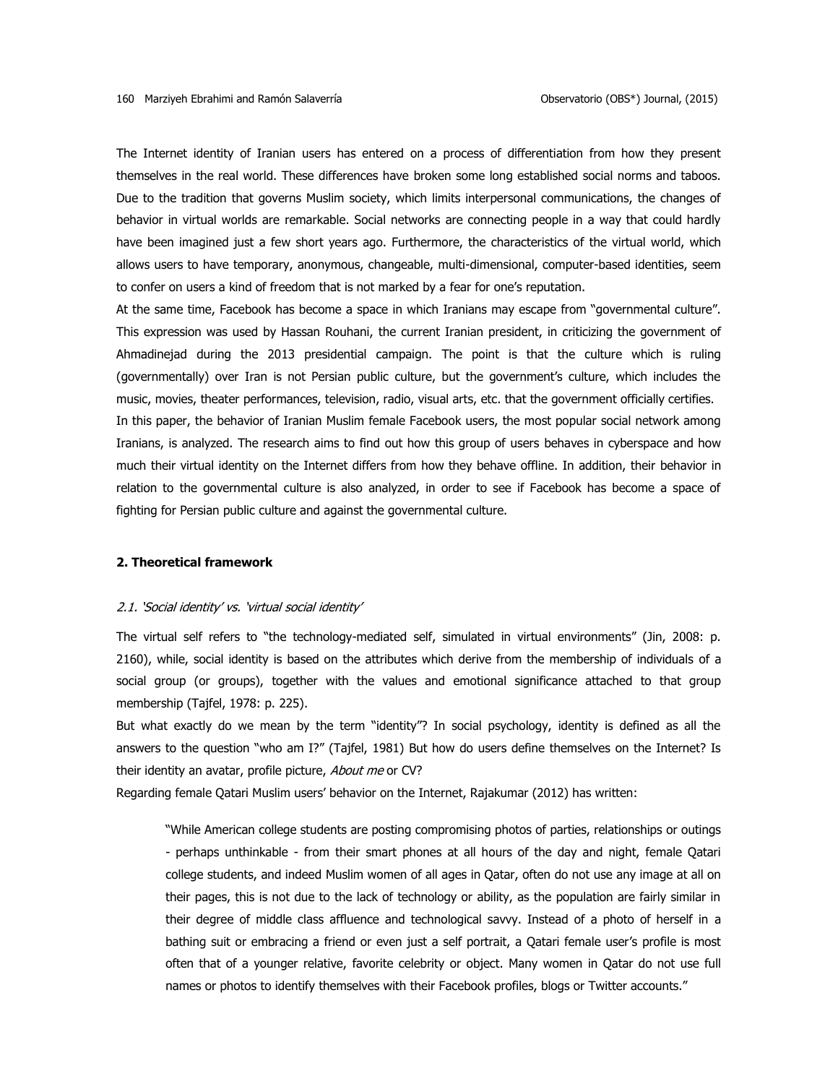The Internet identity of Iranian users has entered on a process of differentiation from how they present themselves in the real world. These differences have broken some long established social norms and taboos. Due to the tradition that governs Muslim society, which limits interpersonal communications, the changes of behavior in virtual worlds are remarkable. Social networks are connecting people in a way that could hardly have been imagined just a few short years ago. Furthermore, the characteristics of the virtual world, which allows users to have temporary, anonymous, changeable, multi-dimensional, computer-based identities, seem to confer on users a kind of freedom that is not marked by a fear for one's reputation.

At the same time, Facebook has become a space in which Iranians may escape from "governmental culture". This expression was used by Hassan Rouhani, the current Iranian president, in criticizing the government of Ahmadinejad during the 2013 presidential campaign. The point is that the culture which is ruling (governmentally) over Iran is not Persian public culture, but the government's culture, which includes the music, movies, theater performances, television, radio, visual arts, etc. that the government officially certifies. In this paper, the behavior of Iranian Muslim female Facebook users, the most popular social network among Iranians, is analyzed. The research aims to find out how this group of users behaves in cyberspace and how much their virtual identity on the Internet differs from how they behave offline. In addition, their behavior in relation to the governmental culture is also analyzed, in order to see if Facebook has become a space of fighting for Persian public culture and against the governmental culture.

### **2. Theoretical framework**

# 2.1. 'Social identity' vs. 'virtual social identity'

The virtual self refers to "the technology-mediated self, simulated in virtual environments" (Jin, 2008: p. 2160), while, social identity is based on the attributes which derive from the membership of individuals of a social group (or groups), together with the values and emotional significance attached to that group membership (Tajfel, 1978: p. 225).

But what exactly do we mean by the term "identity"? In social psychology, identity is defined as all the answers to the question "who am I?" (Tajfel, 1981) But how do users define themselves on the Internet? Is their identity an avatar, profile picture, About me or CV?

Regarding female Qatari Muslim users' behavior on the Internet, Rajakumar (2012) has written:

"While American college students are posting compromising photos of parties, relationships or outings - perhaps unthinkable - from their smart phones at all hours of the day and night, female Qatari college students, and indeed Muslim women of all ages in Qatar, often do not use any image at all on their pages, this is not due to the lack of technology or ability, as the population are fairly similar in their degree of middle class affluence and technological savvy. Instead of a photo of herself in a bathing suit or embracing a friend or even just a self portrait, a Qatari female user's profile is most often that of a younger relative, favorite celebrity or object. Many women in Qatar do not use full names or photos to identify themselves with their Facebook profiles, blogs or Twitter accounts."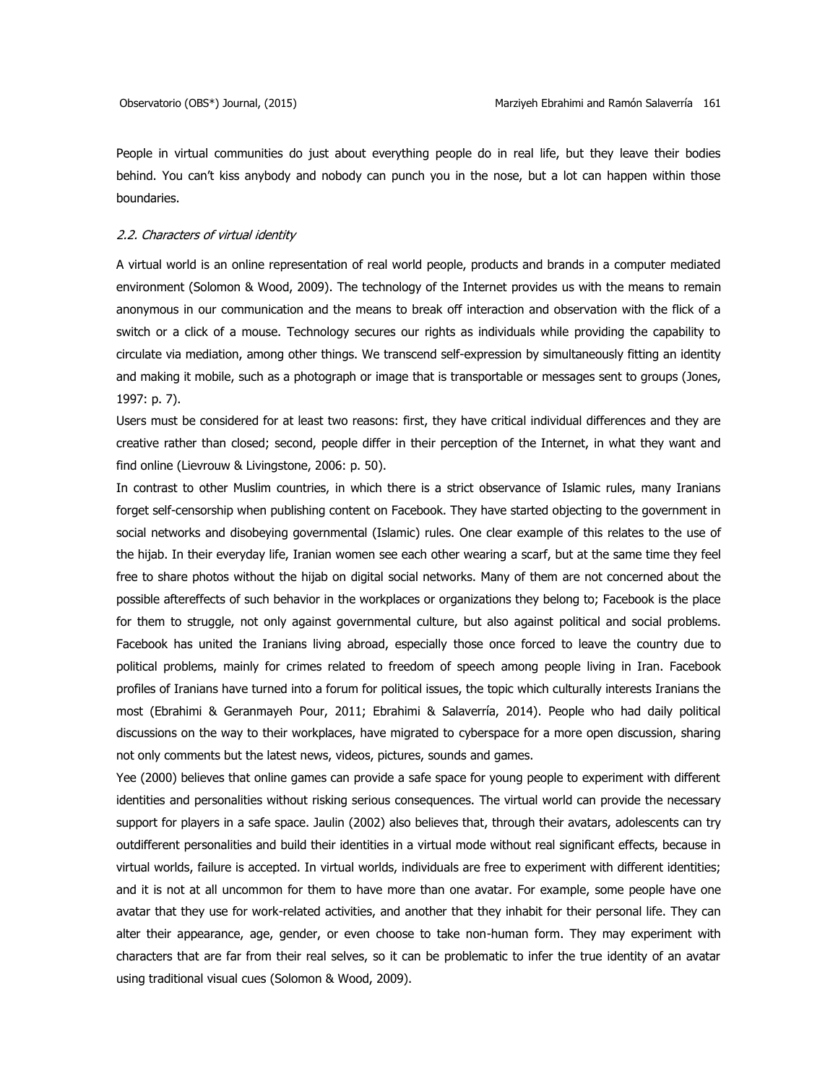People in virtual communities do just about everything people do in real life, but they leave their bodies behind. You can't kiss anybody and nobody can punch you in the nose, but a lot can happen within those boundaries.

# 2.2. Characters of virtual identity

A virtual world is an online representation of real world people, products and brands in a computer mediated environment (Solomon & Wood, 2009). The technology of the Internet provides us with the means to remain anonymous in our communication and the means to break off interaction and observation with the flick of a switch or a click of a mouse. Technology secures our rights as individuals while providing the capability to circulate via mediation, among other things. We transcend self-expression by simultaneously fitting an identity and making it mobile, such as a photograph or image that is transportable or messages sent to groups (Jones, 1997: p. 7).

Users must be considered for at least two reasons: first, they have critical individual differences and they are creative rather than closed; second, people differ in their perception of the Internet, in what they want and find online (Lievrouw & Livingstone, 2006: p. 50).

In contrast to other Muslim countries, in which there is a strict observance of Islamic rules, many Iranians forget self-censorship when publishing content on Facebook. They have started objecting to the government in social networks and disobeying governmental (Islamic) rules. One clear example of this relates to the use of the hijab. In their everyday life, Iranian women see each other wearing a scarf, but at the same time they feel free to share photos without the hijab on digital social networks. Many of them are not concerned about the possible aftereffects of such behavior in the workplaces or organizations they belong to; Facebook is the place for them to struggle, not only against governmental culture, but also against political and social problems. Facebook has united the Iranians living abroad, especially those once forced to leave the country due to political problems, mainly for crimes related to freedom of speech among people living in Iran. Facebook profiles of Iranians have turned into a forum for political issues, the topic which culturally interests Iranians the most (Ebrahimi & Geranmayeh Pour, 2011; Ebrahimi & Salaverría, 2014). People who had daily political discussions on the way to their workplaces, have migrated to cyberspace for a more open discussion, sharing not only comments but the latest news, videos, pictures, sounds and games.

Yee (2000) believes that online games can provide a safe space for young people to experiment with different identities and personalities without risking serious consequences. The virtual world can provide the necessary support for players in a safe space. Jaulin (2002) also believes that, through their avatars, adolescents can try outdifferent personalities and build their identities in a virtual mode without real significant effects, because in virtual worlds, failure is accepted. In virtual worlds, individuals are free to experiment with different identities; and it is not at all uncommon for them to have more than one avatar. For example, some people have one avatar that they use for work-related activities, and another that they inhabit for their personal life. They can alter their appearance, age, gender, or even choose to take non-human form. They may experiment with characters that are far from their real selves, so it can be problematic to infer the true identity of an avatar using traditional visual cues (Solomon & Wood, 2009).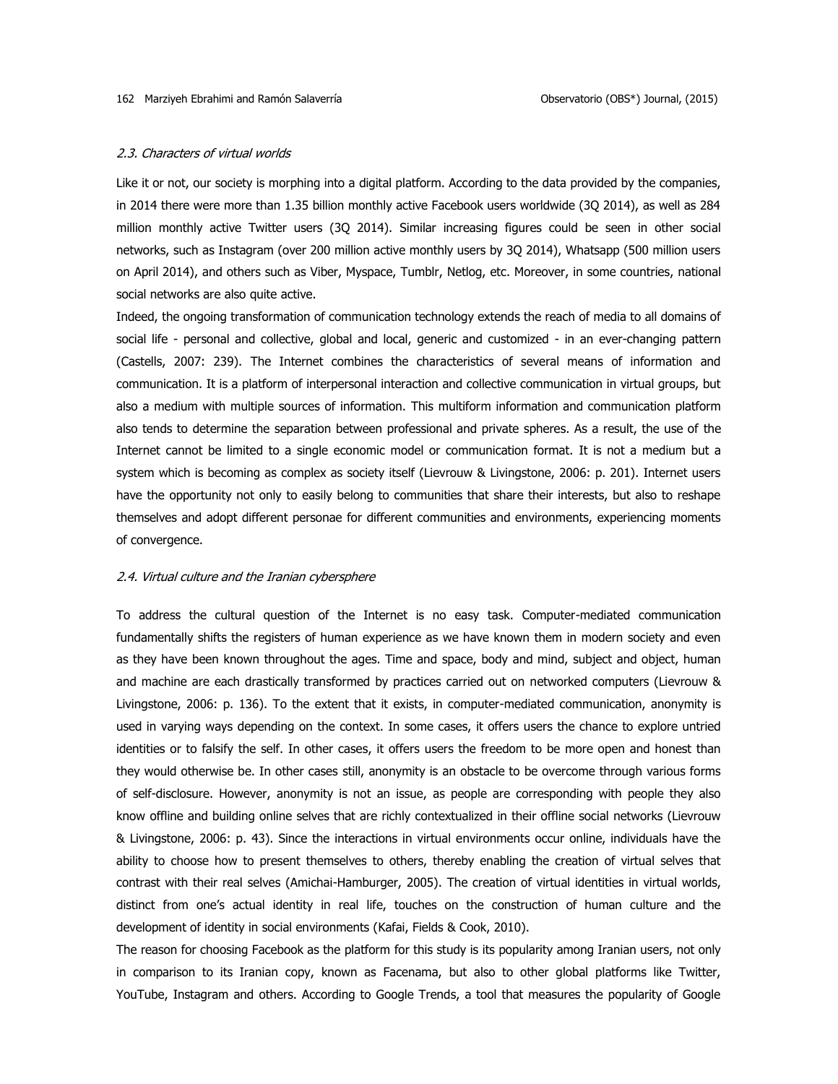#### 2.3. Characters of virtual worlds

Like it or not, our society is morphing into a digital platform. According to the data provided by the companies, in 2014 there were more than 1.35 billion monthly active Facebook users worldwide (3Q 2014), as well as 284 million monthly active Twitter users (3Q 2014). Similar increasing figures could be seen in other social networks, such as Instagram (over 200 million active monthly users by 3Q 2014), Whatsapp (500 million users on April 2014), and others such as Viber, Myspace, Tumblr, Netlog, etc. Moreover, in some countries, national social networks are also quite active.

Indeed, the ongoing transformation of communication technology extends the reach of media to all domains of social life - personal and collective, global and local, generic and customized - in an ever-changing pattern (Castells, 2007: 239). The Internet combines the characteristics of several means of information and communication. It is a platform of interpersonal interaction and collective communication in virtual groups, but also a medium with multiple sources of information. This multiform information and communication platform also tends to determine the separation between professional and private spheres. As a result, the use of the Internet cannot be limited to a single economic model or communication format. It is not a medium but a system which is becoming as complex as society itself (Lievrouw & Livingstone, 2006: p. 201). Internet users have the opportunity not only to easily belong to communities that share their interests, but also to reshape themselves and adopt different personae for different communities and environments, experiencing moments of convergence.

#### 2.4. Virtual culture and the Iranian cybersphere

To address the cultural question of the Internet is no easy task. Computer-mediated communication fundamentally shifts the registers of human experience as we have known them in modern society and even as they have been known throughout the ages. Time and space, body and mind, subject and object, human and machine are each drastically transformed by practices carried out on networked computers (Lievrouw & Livingstone, 2006: p. 136). To the extent that it exists, in computer-mediated communication, anonymity is used in varying ways depending on the context. In some cases, it offers users the chance to explore untried identities or to falsify the self. In other cases, it offers users the freedom to be more open and honest than they would otherwise be. In other cases still, anonymity is an obstacle to be overcome through various forms of self-disclosure. However, anonymity is not an issue, as people are corresponding with people they also know offline and building online selves that are richly contextualized in their offline social networks (Lievrouw & Livingstone, 2006: p. 43). Since the interactions in virtual environments occur online, individuals have the ability to choose how to present themselves to others, thereby enabling the creation of virtual selves that contrast with their real selves (Amichai-Hamburger, 2005). The creation of virtual identities in virtual worlds, distinct from one's actual identity in real life, touches on the construction of human culture and the development of identity in social environments [\(Kafai, Fields & Cook, 2010\)](http://ezproxy.si.unav.es:2078/science/article/pii/S0747563212001744#b0110).

The reason for choosing Facebook as the platform for this study is its popularity among Iranian users, not only in comparison to its Iranian copy, known as Facenama, but also to other global platforms like Twitter, YouTube, Instagram and others. According to Google Trends, a tool that measures the popularity of Google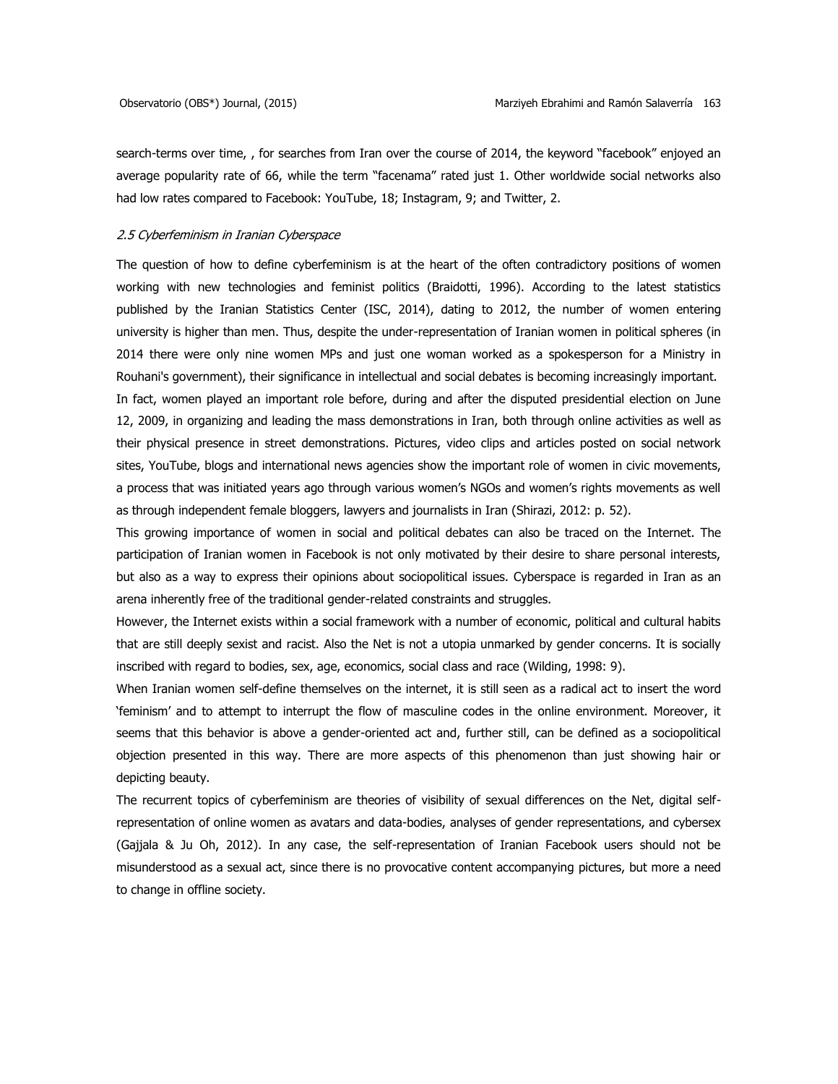search-terms over time, , for searches from Iran over the course of 2014, the keyword "facebook" enjoyed an average popularity rate of 66, while the term "facenama" rated just 1. Other worldwide social networks also had low rates compared to Facebook: YouTube, 18; Instagram, 9; and Twitter, 2.

# 2.5 Cyberfeminism in Iranian Cyberspace

The question of how to define cyberfeminism is at the heart of the often contradictory positions of women working with new technologies and feminist politics (Braidotti, 1996). According to the latest statistics published by the Iranian Statistics Center (ISC, 2014), dating to 2012, the number of women entering university is higher than men. Thus, despite the under-representation of Iranian women in political spheres (in 2014 there were only nine women MPs and just one woman worked as a spokesperson for a Ministry in Rouhani's government), their significance in intellectual and social debates is becoming increasingly important. In fact, women played an important role before, during and after the disputed presidential election on June 12, 2009, in organizing and leading the mass demonstrations in Iran, both through online activities as well as their physical presence in street demonstrations. Pictures, video clips and articles posted on social network sites, YouTube, blogs and international news agencies show the important role of women in civic movements, a process that was initiated years ago through various women's NGOs and women's rights movements as well as through independent female bloggers, lawyers and journalists in Iran (Shirazi, 2012: p. 52).

This growing importance of women in social and political debates can also be traced on the Internet. The participation of Iranian women in Facebook is not only motivated by their desire to share personal interests, but also as a way to express their opinions about sociopolitical issues. Cyberspace is regarded in Iran as an arena inherently free of the traditional gender-related constraints and struggles.

However, the Internet exists within a social framework with a number of economic, political and cultural habits that are still deeply sexist and racist. Also the Net is not a utopia unmarked by gender concerns. It is socially inscribed with regard to bodies, sex, age, economics, social class and race (Wilding, 1998: 9).

When Iranian women self-define themselves on the internet, it is still seen as a radical act to insert the word 'feminism' and to attempt to interrupt the flow of masculine codes in the online environment. Moreover, it seems that this behavior is above a gender-oriented act and, further still, can be defined as a sociopolitical objection presented in this way. There are more aspects of this phenomenon than just showing hair or depicting beauty.

The recurrent topics of cyberfeminism are theories of visibility of sexual differences on the Net, digital selfrepresentation of online women as avatars and data-bodies, analyses of gender representations, and cybersex (Gajjala & Ju Oh, 2012). In any case, the self-representation of Iranian Facebook users should not be misunderstood as a sexual act, since there is no provocative content accompanying pictures, but more a need to change in offline society.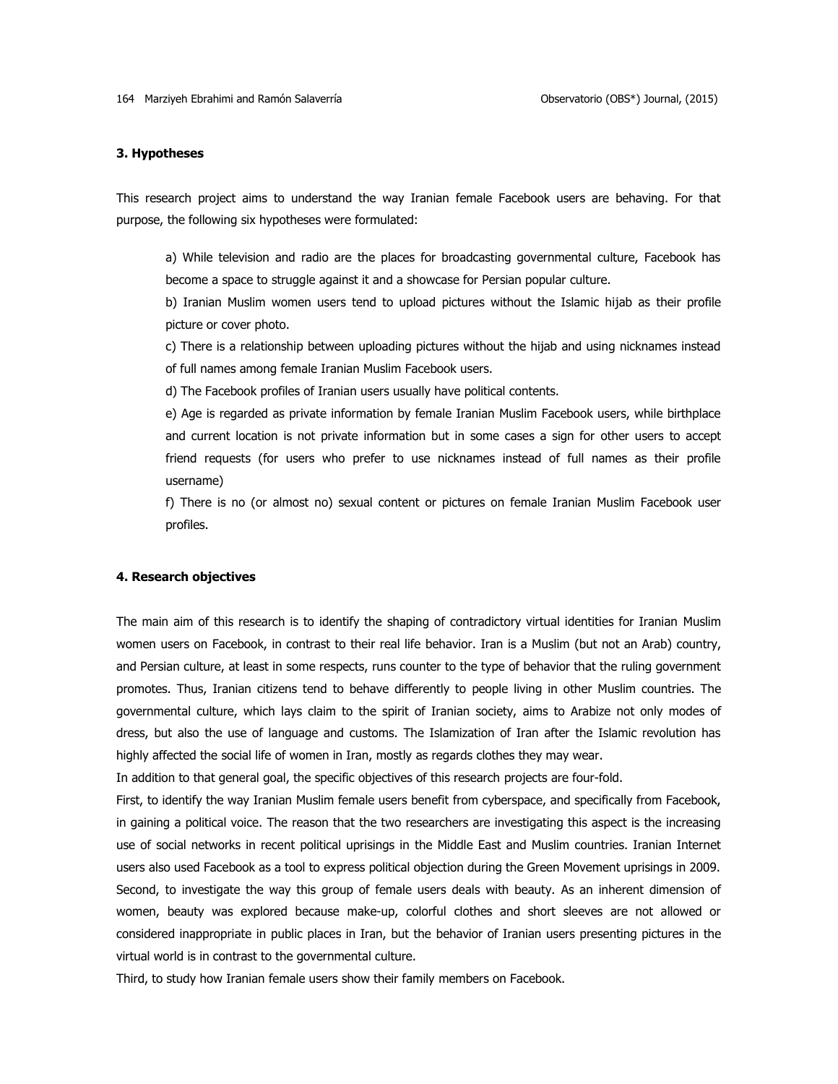# **3. Hypotheses**

This research project aims to understand the way Iranian female Facebook users are behaving. For that purpose, the following six hypotheses were formulated:

a) While television and radio are the places for broadcasting governmental culture, Facebook has become a space to struggle against it and a showcase for Persian popular culture.

b) Iranian Muslim women users tend to upload pictures without the Islamic hijab as their profile picture or cover photo.

c) There is a relationship between uploading pictures without the hijab and using nicknames instead of full names among female Iranian Muslim Facebook users.

d) The Facebook profiles of Iranian users usually have political contents.

e) Age is regarded as private information by female Iranian Muslim Facebook users, while birthplace and current location is not private information but in some cases a sign for other users to accept friend requests (for users who prefer to use nicknames instead of full names as their profile username)

f) There is no (or almost no) sexual content or pictures on female Iranian Muslim Facebook user profiles.

### **4. Research objectives**

The main aim of this research is to identify the shaping of contradictory virtual identities for Iranian Muslim women users on Facebook, in contrast to their real life behavior. Iran is a Muslim (but not an Arab) country, and Persian culture, at least in some respects, runs counter to the type of behavior that the ruling government promotes. Thus, Iranian citizens tend to behave differently to people living in other Muslim countries. The governmental culture, which lays claim to the spirit of Iranian society, aims to Arabize not only modes of dress, but also the use of language and customs. The Islamization of Iran after the Islamic revolution has highly affected the social life of women in Iran, mostly as regards clothes they may wear.

In addition to that general goal, the specific objectives of this research projects are four-fold.

First, to identify the way Iranian Muslim female users benefit from cyberspace, and specifically from Facebook, in gaining a political voice. The reason that the two researchers are investigating this aspect is the increasing use of social networks in recent political uprisings in the Middle East and Muslim countries. Iranian Internet users also used Facebook as a tool to express political objection during the Green Movement uprisings in 2009. Second, to investigate the way this group of female users deals with beauty. As an inherent dimension of women, beauty was explored because make-up, colorful clothes and short sleeves are not allowed or considered inappropriate in public places in Iran, but the behavior of Iranian users presenting pictures in the virtual world is in contrast to the governmental culture.

Third, to study how Iranian female users show their family members on Facebook.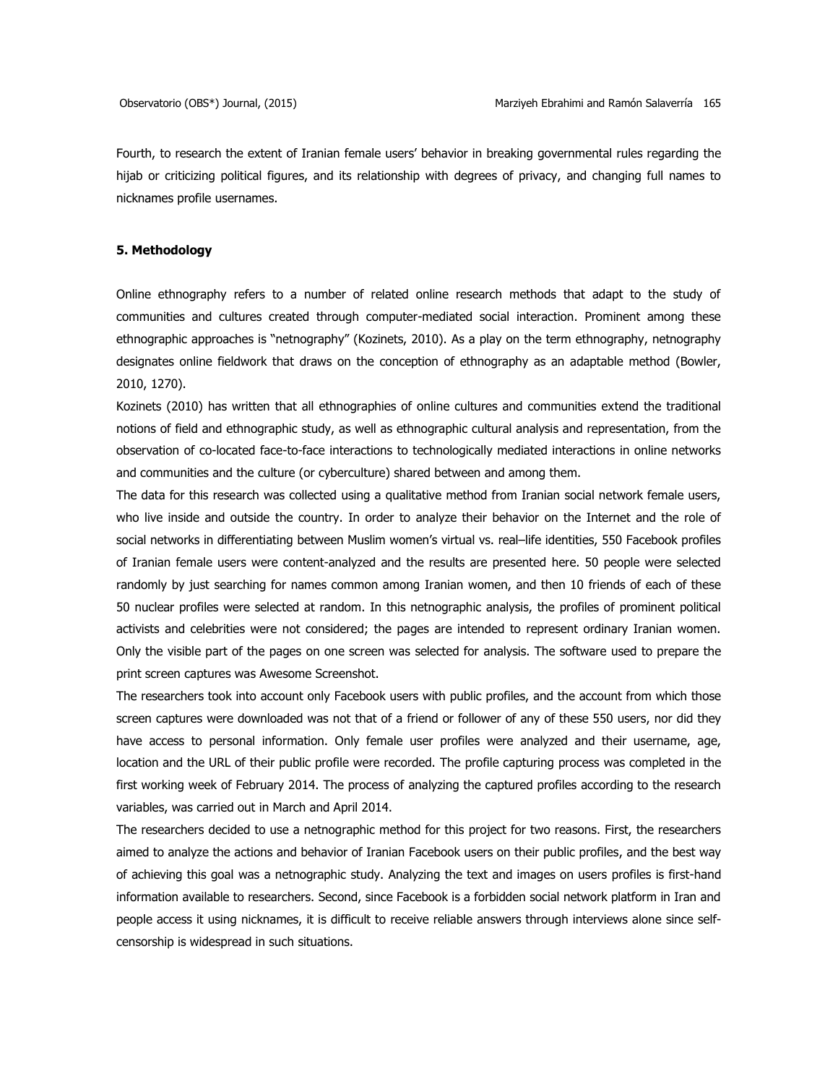Fourth, to research the extent of Iranian female users' behavior in breaking governmental rules regarding the hijab or criticizing political figures, and its relationship with degrees of privacy, and changing full names to nicknames profile usernames.

# **5. Methodology**

Online ethnography refers to a number of related online research methods that adapt to the study of communities and cultures created through computer-mediated social interaction. Prominent among these ethnographic approaches is "netnography" (Kozinets, 2010). As a play on the term ethnography, netnography designates online fieldwork that draws on the conception of ethnography as an adaptable method (Bowler, 2010, 1270).

Kozinets (2010) has written that all ethnographies of online cultures and communities extend the traditional notions of field and ethnographic study, as well as ethnographic cultural analysis and representation, from the observation of co-located face-to-face interactions to technologically mediated interactions in online networks and communities and the culture (or cyberculture) shared between and among them.

The data for this research was collected using a qualitative method from Iranian social network female users, who live inside and outside the country. In order to analyze their behavior on the Internet and the role of social networks in differentiating between Muslim women's virtual vs. real–life identities, 550 Facebook profiles of Iranian female users were content-analyzed and the results are presented here. 50 people were selected randomly by just searching for names common among Iranian women, and then 10 friends of each of these 50 nuclear profiles were selected at random. In this netnographic analysis, the profiles of prominent political activists and celebrities were not considered; the pages are intended to represent ordinary Iranian women. Only the visible part of the pages on one screen was selected for analysis. The software used to prepare the print screen captures was Awesome Screenshot.

The researchers took into account only Facebook users with public profiles, and the account from which those screen captures were downloaded was not that of a friend or follower of any of these 550 users, nor did they have access to personal information. Only female user profiles were analyzed and their username, age, location and the URL of their public profile were recorded. The profile capturing process was completed in the first working week of February 2014. The process of analyzing the captured profiles according to the research variables, was carried out in March and April 2014.

The researchers decided to use a netnographic method for this project for two reasons. First, the researchers aimed to analyze the actions and behavior of Iranian Facebook users on their public profiles, and the best way of achieving this goal was a netnographic study. Analyzing the text and images on users profiles is first-hand information available to researchers. Second, since Facebook is a forbidden social network platform in Iran and people access it using nicknames, it is difficult to receive reliable answers through interviews alone since selfcensorship is widespread in such situations.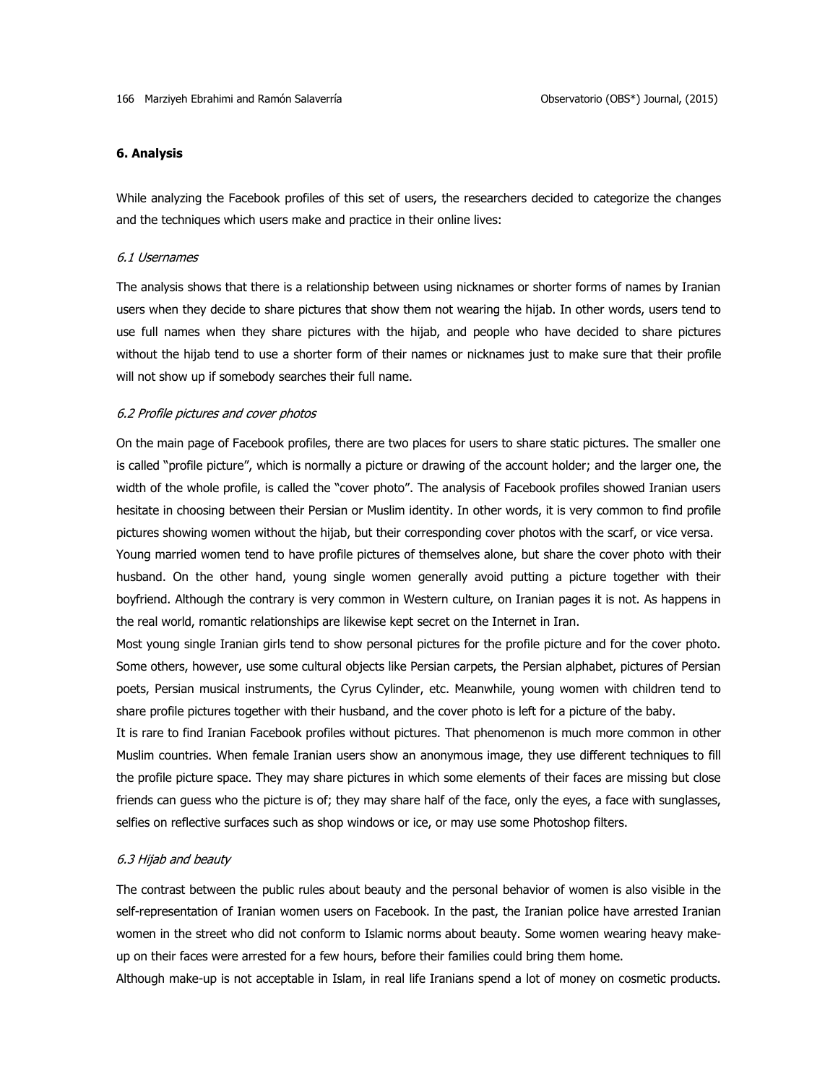# **6. Analysis**

While analyzing the Facebook profiles of this set of users, the researchers decided to categorize the changes and the techniques which users make and practice in their online lives:

# 6.1 Usernames

The analysis shows that there is a relationship between using nicknames or shorter forms of names by Iranian users when they decide to share pictures that show them not wearing the hijab. In other words, users tend to use full names when they share pictures with the hijab, and people who have decided to share pictures without the hijab tend to use a shorter form of their names or nicknames just to make sure that their profile will not show up if somebody searches their full name.

# 6.2 Profile pictures and cover photos

On the main page of Facebook profiles, there are two places for users to share static pictures. The smaller one is called "profile picture", which is normally a picture or drawing of the account holder; and the larger one, the width of the whole profile, is called the "cover photo". The analysis of Facebook profiles showed Iranian users hesitate in choosing between their Persian or Muslim identity. In other words, it is very common to find profile pictures showing women without the hijab, but their corresponding cover photos with the scarf, or vice versa.

Young married women tend to have profile pictures of themselves alone, but share the cover photo with their husband. On the other hand, young single women generally avoid putting a picture together with their boyfriend. Although the contrary is very common in Western culture, on Iranian pages it is not. As happens in the real world, romantic relationships are likewise kept secret on the Internet in Iran.

Most young single Iranian girls tend to show personal pictures for the profile picture and for the cover photo. Some others, however, use some cultural objects like Persian carpets, the Persian alphabet, pictures of Persian poets, Persian musical instruments, the Cyrus Cylinder, etc. Meanwhile, young women with children tend to share profile pictures together with their husband, and the cover photo is left for a picture of the baby.

It is rare to find Iranian Facebook profiles without pictures. That phenomenon is much more common in other Muslim countries. When female Iranian users show an anonymous image, they use different techniques to fill the profile picture space. They may share pictures in which some elements of their faces are missing but close friends can guess who the picture is of; they may share half of the face, only the eyes, a face with sunglasses, selfies on reflective surfaces such as shop windows or ice, or may use some Photoshop filters.

# 6.3 Hijab and beauty

The contrast between the public rules about beauty and the personal behavior of women is also visible in the self-representation of Iranian women users on Facebook. In the past, the Iranian police have arrested Iranian women in the street who did not conform to Islamic norms about beauty. Some women wearing heavy makeup on their faces were arrested for a few hours, before their families could bring them home.

Although make-up is not acceptable in Islam, in real life Iranians spend a lot of money on cosmetic products.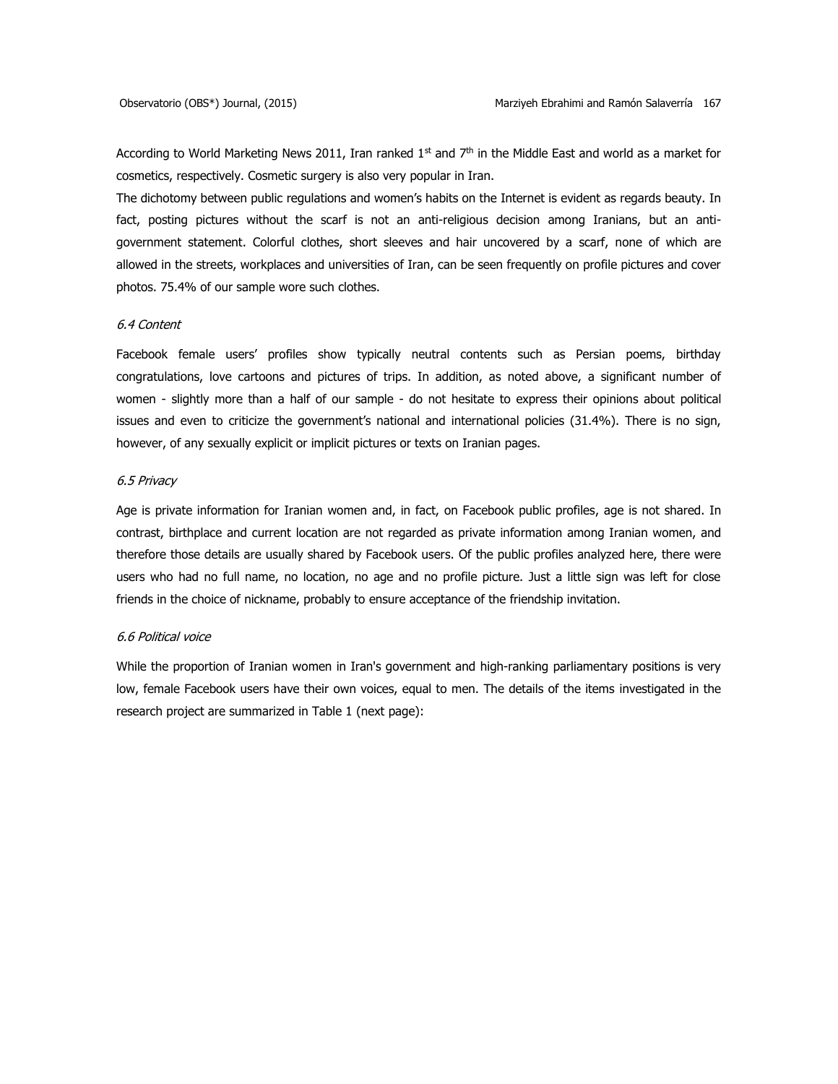According to World Marketing News 2011, Iran ranked  $1<sup>st</sup>$  and  $7<sup>th</sup>$  in the Middle East and world as a market for cosmetics, respectively. Cosmetic surgery is also very popular in Iran.

The dichotomy between public regulations and women's habits on the Internet is evident as regards beauty. In fact, posting pictures without the scarf is not an anti-religious decision among Iranians, but an antigovernment statement. Colorful clothes, short sleeves and hair uncovered by a scarf, none of which are allowed in the streets, workplaces and universities of Iran, can be seen frequently on profile pictures and cover photos. 75.4% of our sample wore such clothes.

# 6.4 Content

Facebook female users' profiles show typically neutral contents such as Persian poems, birthday congratulations, love cartoons and pictures of trips. In addition, as noted above, a significant number of women - slightly more than a half of our sample - do not hesitate to express their opinions about political issues and even to criticize the government's national and international policies (31.4%). There is no sign, however, of any sexually explicit or implicit pictures or texts on Iranian pages.

# 6.5 Privacy

Age is private information for Iranian women and, in fact, on Facebook public profiles, age is not shared. In contrast, birthplace and current location are not regarded as private information among Iranian women, and therefore those details are usually shared by Facebook users. Of the public profiles analyzed here, there were users who had no full name, no location, no age and no profile picture. Just a little sign was left for close friends in the choice of nickname, probably to ensure acceptance of the friendship invitation.

#### 6.6 Political voice

While the proportion of Iranian women in Iran's government and high-ranking parliamentary positions is very low, female Facebook users have their own voices, equal to men. The details of the items investigated in the research project are summarized in Table 1 (next page):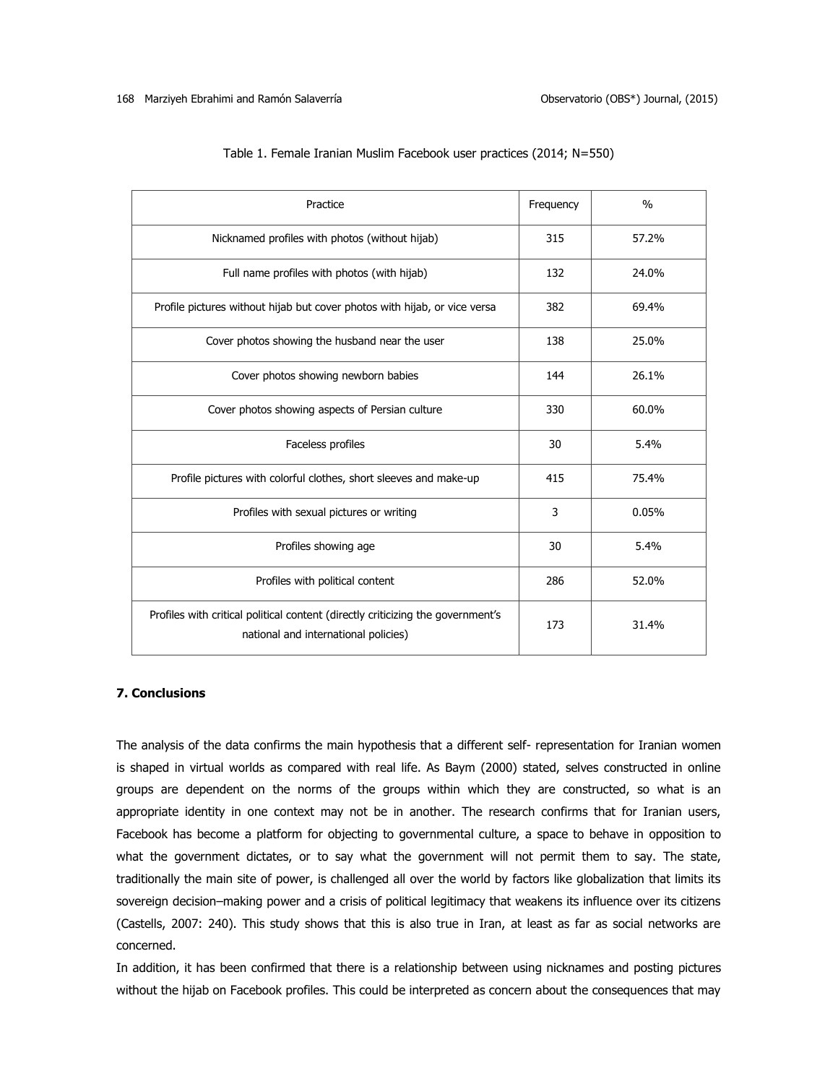| Practice                                                                                                                | Frequency | $\frac{0}{0}$ |
|-------------------------------------------------------------------------------------------------------------------------|-----------|---------------|
| Nicknamed profiles with photos (without hijab)                                                                          | 315       | 57.2%         |
| Full name profiles with photos (with hijab)                                                                             | 132       | 24.0%         |
| Profile pictures without hijab but cover photos with hijab, or vice versa                                               | 382       | 69.4%         |
| Cover photos showing the husband near the user                                                                          | 138       | 25.0%         |
| Cover photos showing newborn babies                                                                                     | 144       | 26.1%         |
| Cover photos showing aspects of Persian culture                                                                         | 330       | 60.0%         |
| Faceless profiles                                                                                                       | 30        | 5.4%          |
| Profile pictures with colorful clothes, short sleeves and make-up                                                       | 415       | 75.4%         |
| Profiles with sexual pictures or writing                                                                                | 3         | 0.05%         |
| Profiles showing age                                                                                                    | 30        | 5.4%          |
| Profiles with political content                                                                                         | 286       | 52.0%         |
| Profiles with critical political content (directly criticizing the government's<br>national and international policies) | 173       | 31.4%         |

|  |  | Table 1. Female Iranian Muslim Facebook user practices (2014; N=550) |
|--|--|----------------------------------------------------------------------|
|--|--|----------------------------------------------------------------------|

# **7. Conclusions**

The analysis of the data confirms the main hypothesis that a different self- representation for Iranian women is shaped in virtual worlds as compared with real life. As Baym (2000) stated, selves constructed in online groups are dependent on the norms of the groups within which they are constructed, so what is an appropriate identity in one context may not be in another. The research confirms that for Iranian users, Facebook has become a platform for objecting to governmental culture, a space to behave in opposition to what the government dictates, or to say what the government will not permit them to say. The state, traditionally the main site of power, is challenged all over the world by factors like globalization that limits its sovereign decision–making power and a crisis of political legitimacy that weakens its influence over its citizens (Castells, 2007: 240). This study shows that this is also true in Iran, at least as far as social networks are concerned.

In addition, it has been confirmed that there is a relationship between using nicknames and posting pictures without the hijab on Facebook profiles. This could be interpreted as concern about the consequences that may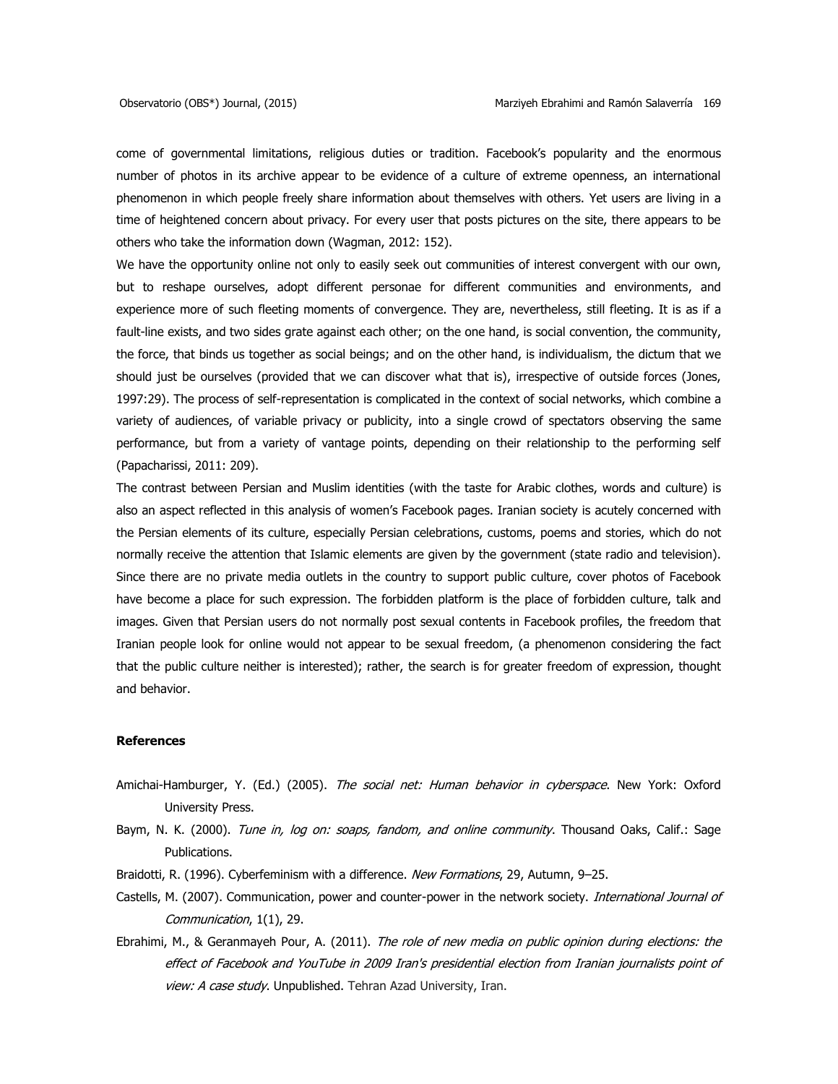come of governmental limitations, religious duties or tradition. Facebook's popularity and the enormous number of photos in its archive appear to be evidence of a culture of extreme openness, an international phenomenon in which people freely share information about themselves with others. Yet users are living in a time of heightened concern about privacy. For every user that posts pictures on the site, there appears to be others who take the information down (Wagman, 2012: 152).

We have the opportunity online not only to easily seek out communities of interest convergent with our own, but to reshape ourselves, adopt different personae for different communities and environments, and experience more of such fleeting moments of convergence. They are, nevertheless, still fleeting. It is as if a fault-line exists, and two sides grate against each other; on the one hand, is social convention, the community, the force, that binds us together as social beings; and on the other hand, is individualism, the dictum that we should just be ourselves (provided that we can discover what that is), irrespective of outside forces (Jones, 1997:29). The process of self-representation is complicated in the context of social networks, which combine a variety of audiences, of variable privacy or publicity, into a single crowd of spectators observing the same performance, but from a variety of vantage points, depending on their relationship to the performing self (Papacharissi, 2011: 209).

The contrast between Persian and Muslim identities (with the taste for Arabic clothes, words and culture) is also an aspect reflected in this analysis of women's Facebook pages. Iranian society is acutely concerned with the Persian elements of its culture, especially Persian celebrations, customs, poems and stories, which do not normally receive the attention that Islamic elements are given by the government (state radio and television). Since there are no private media outlets in the country to support public culture, cover photos of Facebook have become a place for such expression. The forbidden platform is the place of forbidden culture, talk and images. Given that Persian users do not normally post sexual contents in Facebook profiles, the freedom that Iranian people look for online would not appear to be sexual freedom, (a phenomenon considering the fact that the public culture neither is interested); rather, the search is for greater freedom of expression, thought and behavior.

# **References**

- Amichai-Hamburger, Y. (Ed.) (2005). The social net: Human behavior in cyberspace. New York: Oxford University Press.
- Baym, N. K. (2000). Tune in, log on: soaps, fandom, and online community. Thousand Oaks, Calif.: Sage Publications.
- Braidotti, R. (1996). Cyberfeminism with a difference. New Formations, 29, Autumn, 9-25.
- Castells, M. (2007). Communication, power and counter-power in the network society. International Journal of Communication, 1(1), 29.
- Ebrahimi, M., & Geranmayeh Pour, A. (2011). The role of new media on public opinion during elections: the effect of Facebook and YouTube in 2009 Iran's presidential election from Iranian journalists point of view: A case study. Unpublished. Tehran Azad University, Iran.